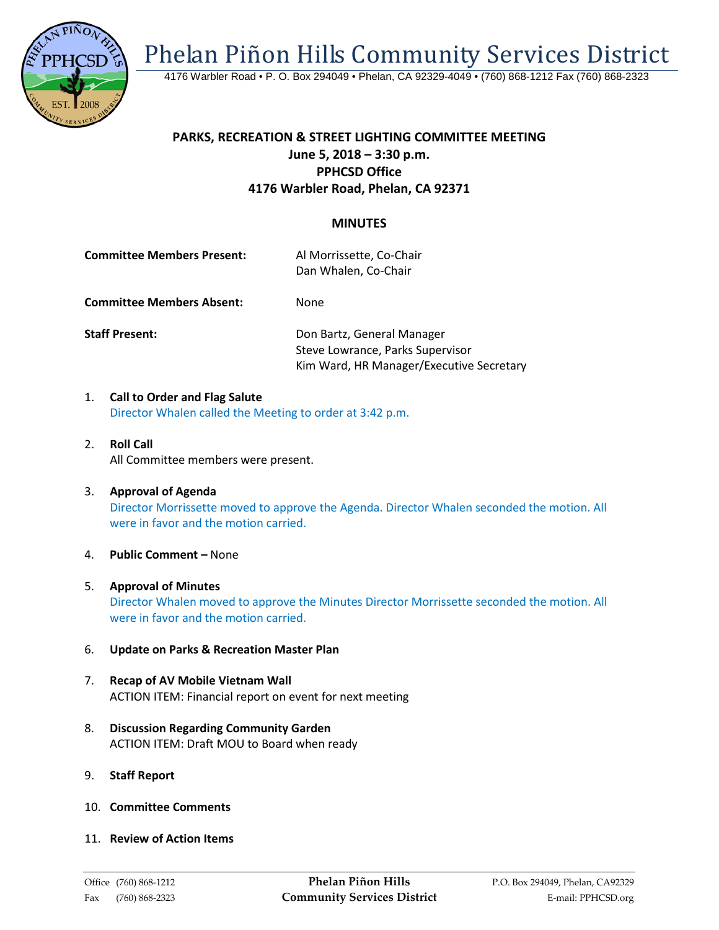Phelan Piñon Hills Community Services District



4176 Warbler Road • P. O. Box 294049 • Phelan, CA 92329-4049 • (760) 868-1212 Fax (760) 868-2323

## **PARKS, RECREATION & STREET LIGHTING COMMITTEE MEETING June 5, 2018 – 3:30 p.m. PPHCSD Office 4176 Warbler Road, Phelan, CA 92371**

## **MINUTES**

| <b>Committee Members Present:</b> | Al Morrissette, Co-Chair<br>Dan Whalen, Co-Chair |
|-----------------------------------|--------------------------------------------------|
| <b>Committee Members Absent:</b>  | None                                             |

**Staff Present: Con Bartz, General Manager** Steve Lowrance, Parks Supervisor Kim Ward, HR Manager/Executive Secretary

- 1. **Call to Order and Flag Salute** Director Whalen called the Meeting to order at 3:42 p.m.
- 2. **Roll Call** All Committee members were present.
- 3. **Approval of Agenda** Director Morrissette moved to approve the Agenda. Director Whalen seconded the motion. All were in favor and the motion carried.
- 4. **Public Comment –** None
- 5. **Approval of Minutes** Director Whalen moved to approve the Minutes Director Morrissette seconded the motion. All were in favor and the motion carried.
- 6. **Update on Parks & Recreation Master Plan**
- 7. **Recap of AV Mobile Vietnam Wall** ACTION ITEM: Financial report on event for next meeting
- 8. **Discussion Regarding Community Garden** ACTION ITEM: Draft MOU to Board when ready
- 9. **Staff Report**
- 10. **Committee Comments**
- 11. **Review of Action Items**